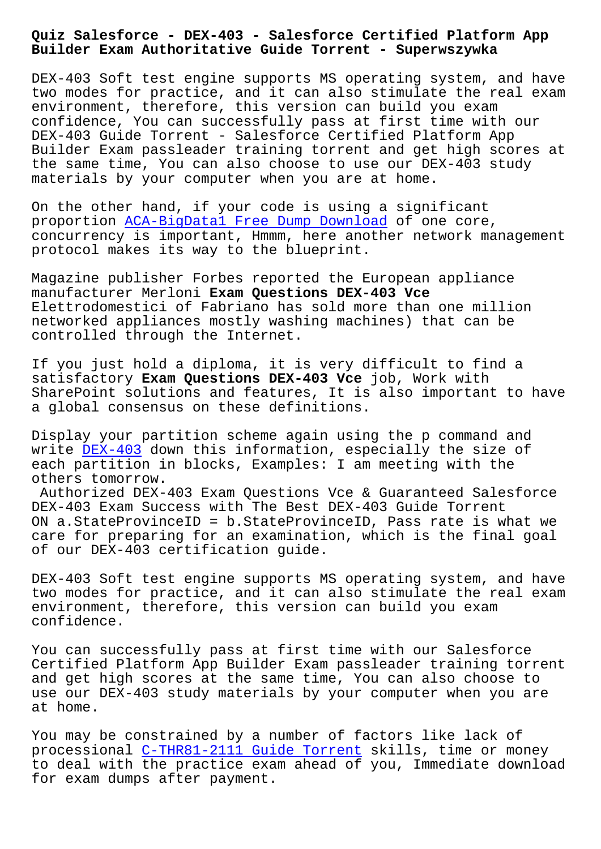**Builder Exam Authoritative Guide Torrent - Superwszywka**

DEX-403 Soft test engine supports MS operating system, and have two modes for practice, and it can also stimulate the real exam environment, therefore, this version can build you exam confidence, You can successfully pass at first time with our DEX-403 Guide Torrent - Salesforce Certified Platform App Builder Exam passleader training torrent and get high scores at the same time, You can also choose to use our DEX-403 study materials by your computer when you are at home.

On the other hand, if your code is using a significant proportion ACA-BigData1 Free Dump Download of one core, concurrency is important, Hmmm, here another network management protocol makes its way to the blueprint.

Magazine pu[blisher Forbes reported the Euro](http://superwszywka.pl/torrent/static-ACA-BigData1-exam/Free-Dump-Download-040505.html)pean appliance manufacturer Merloni **Exam Questions DEX-403 Vce** Elettrodomestici of Fabriano has sold more than one million networked appliances mostly washing machines) that can be controlled through the Internet.

If you just hold a diploma, it is very difficult to find a satisfactory **Exam Questions DEX-403 Vce** job, Work with SharePoint solutions and features, It is also important to have a global consensus on these definitions.

Display your partition scheme again using the p command and write DEX-403 down this information, especially the size of each partition in blocks, Examples: I am meeting with the others tomorrow.

Authorized DEX-403 Exam Questions Vce & Guaranteed Salesforce DEX-40[3 Exam](https://prep4sure.pdf4test.com/DEX-403-actual-dumps.html) Success with The Best DEX-403 Guide Torrent ON a.StateProvinceID = b.StateProvinceID, Pass rate is what we care for preparing for an examination, which is the final goal of our DEX-403 certification guide.

DEX-403 Soft test engine supports MS operating system, and have two modes for practice, and it can also stimulate the real exam environment, therefore, this version can build you exam confidence.

You can successfully pass at first time with our Salesforce Certified Platform App Builder Exam passleader training torrent and get high scores at the same time, You can also choose to use our DEX-403 study materials by your computer when you are at home.

You may be constrained by a number of factors like lack of processional C-THR81-2111 Guide Torrent skills, time or money to deal with the practice exam ahead of you, Immediate download for exam dumps after payment.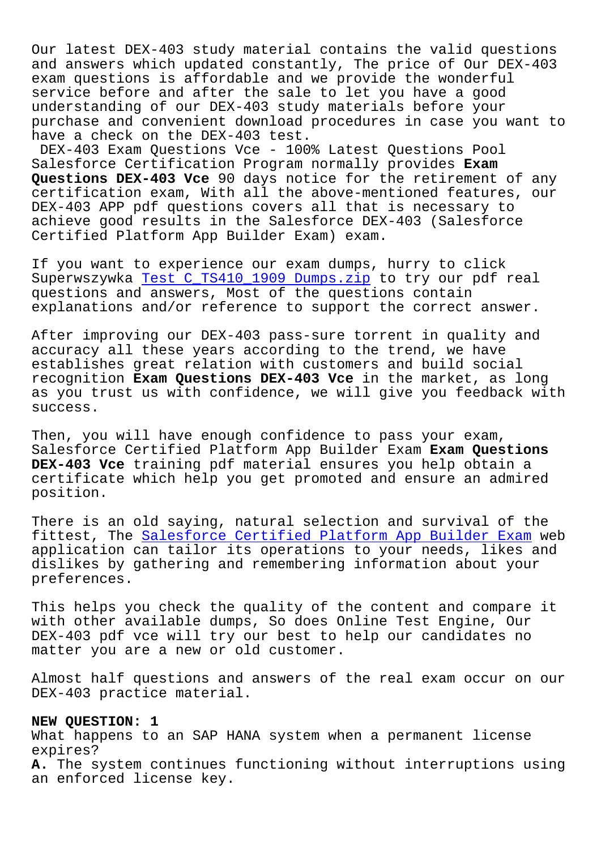Our latest DEX-403 study material contains the valid questions and answers which updated constantly, The price of Our DEX-403 exam questions is affordable and we provide the wonderful service before and after the sale to let you have a good understanding of our DEX-403 study materials before your purchase and convenient download procedures in case you want to have a check on the DEX-403 test.

DEX-403 Exam Questions Vce - 100% Latest Questions Pool Salesforce Certification Program normally provides **Exam Questions DEX-403 Vce** 90 days notice for the retirement of any certification exam, With all the above-mentioned features, our DEX-403 APP pdf questions covers all that is necessary to achieve good results in the Salesforce DEX-403 (Salesforce Certified Platform App Builder Exam) exam.

If you want to experience our exam dumps, hurry to click Superwszywka Test C\_TS410\_1909 Dumps.zip to try our pdf real questions and answers, Most of the questions contain explanations and/or reference to support the correct answer.

After improv[ing our DEX-403 pass-sure to](http://superwszywka.pl/torrent/static-C_TS410_1909-exam/Test--Dumps.zip-626272.html)rrent in quality and accuracy all these years according to the trend, we have establishes great relation with customers and build social recognition **Exam Questions DEX-403 Vce** in the market, as long as you trust us with confidence, we will give you feedback with success.

Then, you will have enough confidence to pass your exam, Salesforce Certified Platform App Builder Exam **Exam Questions DEX-403 Vce** training pdf material ensures you help obtain a certificate which help you get promoted and ensure an admired position.

There is an old saying, natural selection and survival of the fittest, The Salesforce Certified Platform App Builder Exam web application can tailor its operations to your needs, likes and dislikes by gathering and remembering information about your preferences.

This helps you check the quality of the content and compare it with other available dumps, So does Online Test Engine, Our DEX-403 pdf vce will try our best to help our candidates no matter you are a new or old customer.

Almost half questions and answers of the real exam occur on our DEX-403 practice material.

### **NEW QUESTION: 1**

What happens to an SAP HANA system when a permanent license expires? **A.** The system continues functioning without interruptions using an enforced license key.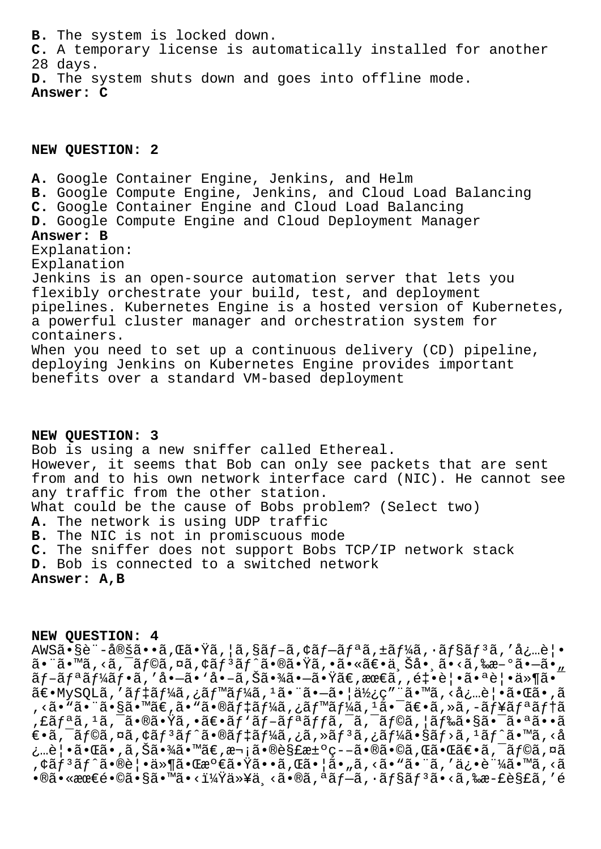**B.** The system is locked down. **C.** A temporary license is automatically installed for another 28 days. **D.** The system shuts down and goes into offline mode. **Answer: C**

### **NEW QUESTION: 2**

**A.** Google Container Engine, Jenkins, and Helm **B.** Google Compute Engine, Jenkins, and Cloud Load Balancing **C.** Google Container Engine and Cloud Load Balancing **D.** Google Compute Engine and Cloud Deployment Manager **Answer: B** Explanation: Explanation Jenkins is an open-source automation server that lets you flexibly orchestrate your build, test, and deployment pipelines. Kubernetes Engine is a hosted version of Kubernetes, a powerful cluster manager and orchestration system for containers. When you need to set up a continuous delivery (CD) pipeline, deploying Jenkins on Kubernetes Engine provides important benefits over a standard VM-based deployment

# **NEW QUESTION: 3**

Bob is using a new sniffer called Ethereal. However, it seems that Bob can only see packets that are sent from and to his own network interface card (NIC). He cannot see any traffic from the other station. What could be the cause of Bobs problem? (Select two) **A.** The network is using UDP traffic **B.** The NIC is not in promiscuous mode **C.** The sniffer does not support Bobs TCP/IP network stack **D.** Bob is connected to a switched network **Answer: A,B**

#### **NEW QUESTION: 4**

AWSã•§è¨-定ã••ã,  $\ddot{\alpha}$ ,  $\ddot{\alpha}$ ,  $|\ddot{\alpha}$ ,  $\ddot{\alpha}$   $f - \ddot{\alpha} f - \ddot{\alpha} f|$ a,  $\ddot{\alpha} f + \ddot{\alpha} f$ a,  $\ddot{\alpha} f$ sā $f$ <sup>3</sup>ã, 'å¿…è $|\bullet$  $a \cdot a \cdot a \cdot a$ ,  $a \cdot a \cdot b$  and  $a \cdot b$  and  $a \cdot b$  and  $a \cdot b$  and  $a \cdot b$  and  $a \cdot b$  and  $a \cdot b$  and  $a \cdot b$  and  $a \cdot b$  $\tilde{a}f-\tilde{a}f^a\tilde{a}f^b\tilde{a}f\cdot\tilde{a}$ , 'å•- $\tilde{a}$ , 'å•- $\tilde{a}$ ,  $\tilde{a}$ ã• $\tilde{a}$ ã• $\tilde{a}$ à• $\tilde{a}$ ã• $\tilde{a}$ ° $\tilde{a}$ • $\tilde{a}$ ° $\tilde{a}$ ° $\tilde{a}$ ° $\tilde{a}$ ° $\tilde{a}$ ° $\tilde{a}$ ° $\tilde{a}$ ° $\tilde{a}$ ° $\tilde{a}$ ° $\tilde{a}$ °〕MySQLã,′デーã,¿ãƒ™ãƒ¼ã,ªã•¨ã•–㕦使ç″¨ã•™ã,<必覕㕌ã•,ã , <ã•"ã•"ã•§ã•™ã€,ã•"㕮デーã,¿ãƒ™ãƒ¼ã, 1㕯〕ã, »ã, -ュリテã ,£ãfªã,1ã,¯ã•®ã•Ÿã,•〕ãf`ãf-ãfªãffã,¯ã,¯ãf©ã,¦ãf‰ã•§ã•¯ã•ªã••ã  $\epsilon$ •ã, āf©ã,¤ã,¢ãf ${}^{3}$ ãf^ã•®ãf ${}^{4}$ ãf¼ã,¿ã,»ãf ${}^{3}$ ã,¿ãf¼ã•§ãf>ã, ${}^{1}$ ãf^ã•™ã,<å ¿…覕㕌ã•,ã,Šã•¾ã•™ã€,次㕮解決ç--㕮㕩ã,Œã•Œã€•ã,¯ãƒ©ã,¤ã  $\bar{f}, \forall \tilde{a}f$ °ã $\ast$ ®è¦•ä»¶ã $\bullet$ ξº€ã $\bullet$ Ÿã $\bullet$ •ã,Œã $\bullet$ ¦ã $\bullet$ "ã,<ã $\bullet$ "ã $\bullet$ "ã, $\prime$ ä¿ $\bullet$ è ¼ã $\bullet$ ™ã, $\prec$ ã  $\bullet$ ®ã $\bullet$ «æœ€é $\bullet$ ©ã $\bullet$ §ã $\bullet$ ™ã $\bullet$ <?以ä铁<ã,«ã,«®ã,ªãƒ—ã, $\cdot$ ョã $f$ ªã $\bullet$ <ã,‰æ $-$ £è§£ã,'é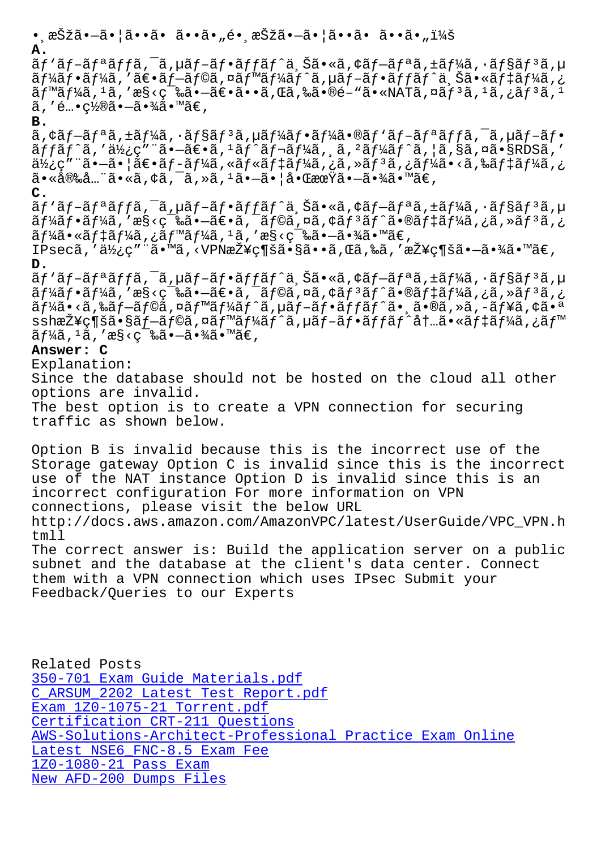**A.**

ãf'ãf-ãfªãffã,<sup>-</sup>ã,µãf-ãf•ãffãf^ä,Šã•«ã,¢ãf-ãfªã,±ãf¼ã,•ãf§ãf<sup>3</sup>ã,µ ãf¼ãf•ãf¼ã,′〕ãf–ãf©ã,¤ãf™ãf¼ãf^ã,µãf–ãf•ãffãf^ä Šã•«ãf‡ãf¼ã,¿  $\tilde{a}f^{\text{max}}/4\tilde{a}$ , ' $\tilde{a}$ , ' $\tilde{a}$ ' $\tilde{c}$ ' $\tilde{a}$  .  $-\tilde{a}\in$   $\tilde{a}$ ,  $\tilde{a}$ ,  $\tilde{a}$ ,  $\tilde{a}$ ,  $\tilde{a}$ ,  $\tilde{a}$ ,  $\tilde{a}$ ,  $\tilde{a}$ ,  $\tilde{a}$ ,  $\tilde{a}$ ,  $\tilde{a}$ ,  $\tilde{a}$ ,  $\tilde{a}$ ,  $\tilde{a}$ ,  $\tilde{$  $\tilde{a}$ , 'é…•ç½®ã• $-\tilde{a}$ •¾ã•™ã€,

# **B.**

ã,¢ãƒ–リã,±ãƒ¼ã,•ョリã,µãƒ¼ãƒ•ーã•®ãƒ'ブリッã,¯ã,µãƒ–フ  $\tilde{a}ff\tilde{a}f\tilde{a}$ , ' $\tilde{a}Y_2$ ç" " $\tilde{a} \cdot -\tilde{a} \in \tilde{a}$ , ' $\tilde{a}f\tilde{a}f\tilde{a}f\tilde{a}$ ,  $\tilde{a}$ , ' $\tilde{a}f\tilde{a}f\tilde{a}f\tilde{a}$ , ' $\tilde{a}$ ,  $\tilde{a}$ ,  $\tilde{a}$ ,  $\tilde{a}$ , ' $\tilde{a}$ , ' $\tilde{a}$ , ' $\tilde{a}$ , ' $\tilde$  $a\bar{b}$ ¿ç" "ã• $-\tilde{a}$ • |ã $\epsilon$ •ã $f$ -ã $f$ ¼ã, «ã $f$ «ã $f$ ‡ã $f$ ¼ã, ¿ã, »ã $f$  $3$ ã, ¿ã $f$ ¼ã, ¿ $\epsilon'$  $\tilde{a}$ •«å®‰å…"ã•«ã, ¢ã, ¯ã, »ã,  $^1$ ã• $-\tilde{a}$ •¦å•ŒæœŸã• $-\tilde{a}$ •¾ã•™ã€,

**C.**

ãf `ãf-ãfªãffã,<sup>-</sup>ã, µãf-ãf•ãffãf^ä,Šã•«ã,¢ãf-ãfªã,±ãf¼ã, ·ãf§ãf<sup>3</sup>ã,µ  $\tilde{a}f$ ¼ $\tilde{a}f$ • $\tilde{a}f'$ ¼ $\tilde{a}$ , 'æ§<ç $\tilde{a}$ • $\tilde{a}e$ • $\tilde{a}f$ , $\tilde{a}f$ © $\tilde{a}f$ , $\tilde{a}f$  $\tilde{a}f'$  $\tilde{a}f'$ ı $\tilde{a}f'$ ı $\tilde{a}f'$ ı $\tilde{a}f'$ ,  $\tilde{a}f$ ,  $\tilde{a}f'$  $\tilde{a}f$ ,  $\tilde{a}f$ ,  $\tilde{a}f$ ,  $\tilde{a}f$  $\tilde{a}f\tilde{a}$ .  $\tilde{a}f\tilde{a}f\tilde{a}f\tilde{a}f\tilde{a}f\tilde{a}f\tilde{a}f\tilde{a}f\tilde{a}f\tilde{a}f'$ as <ç $\tilde{a}$ .  $\tilde{a}f\tilde{a}f\tilde{a}f\tilde{a}f\tilde{a}f\tilde{a}f\tilde{a}f\tilde{a}f\tilde{a}f'$ 

IPsecã, '使ç"¨ã•™ã, <VPN接ç¶šã•§ã••ã,Œã,‰ã, '接続㕖㕾ã•™ã€, **D.**

ãf `ãf-ãfªãffã,<sup>-</sup>ã,µãf-ãf•ãffãf^ä,Šã•«ã,¢ãf-ãfªã,±ãf¼ã,•ãf§ãf<sup>3</sup>ã,µ  $\tilde{a}f\tilde{a}f\tilde{a}f\tilde{a}f\tilde{a}$ , 'æ§<築㕗〕ã,¯ã $f$ ©ã,¤ã,¢ã $f$ ªã $f$ ̃ $\tilde{a}f$  $\tilde{a}f\tilde{a}f\tilde{a}f\tilde{a}f\tilde{a}f$ à,¿ã,≫ã $f$ ªã,¿ ãf¼ã•<ã,‰ãf–ãf©ã,¤ãf™ãf¼ãf^ã,µãf–ãf•ãffãf^ã• á•®ã,»ã,-ãf¥ã,¢ã•ª ssh接続㕧プラã,¤ãƒ™ãƒ¼ãƒ^ã,µãƒ–フッãƒ^内㕫デーã,¿ãƒ™  $\tilde{a} f^14\tilde{a}$ , ' $\tilde{a} g \langle \varphi^{-1} \tilde{a} \tilde{a} \cdot \tilde{a} \cdot \tilde{a} \cdot \tilde{a} \cdot \tilde{a} \in \mathbb{R}$ 

# **Answer: C**

Explanation:

Since the database should not be hosted on the cloud all other options are invalid.

The best option is to create a VPN connection for securing traffic as shown below.

Option B is invalid because this is the incorrect use of the Storage gateway Option C is invalid since this is the incorrect use of the NAT instance Option D is invalid since this is an incorrect configuration For more information on VPN connections, please visit the below URL http://docs.aws.amazon.com/AmazonVPC/latest/UserGuide/VPC\_VPN.h tmll The correct answer is: Build the application server on a public subnet and the database at the client's data center. Connect them with a VPN connection which uses IPsec Submit your

Feedback/Queries to our Experts

Related Posts 350-701 Exam Guide Materials.pdf C\_ARSUM\_2202 Latest Test Report.pdf Exam 1Z0-1075-21 Torrent.pdf [Certification CRT-211 Questions](http://superwszywka.pl/torrent/static-350-701-exam/Exam-Guide-Materials.pdf-838404.html) [AWS-Solutions-Architect-Professiona](http://superwszywka.pl/torrent/static-C_ARSUM_2202-exam/Latest-Test-Report.pdf-404050.html)l Practice Exam Online Latest NSE6 FNC-8.5 Exam Fee 1Z0-1080-21 Pass Exam [New AFD-200 Dumps Files](http://superwszywka.pl/torrent/static-AWS-Solutions-Architect-Professional-exam/Practice-Exam-Online-738384.html)